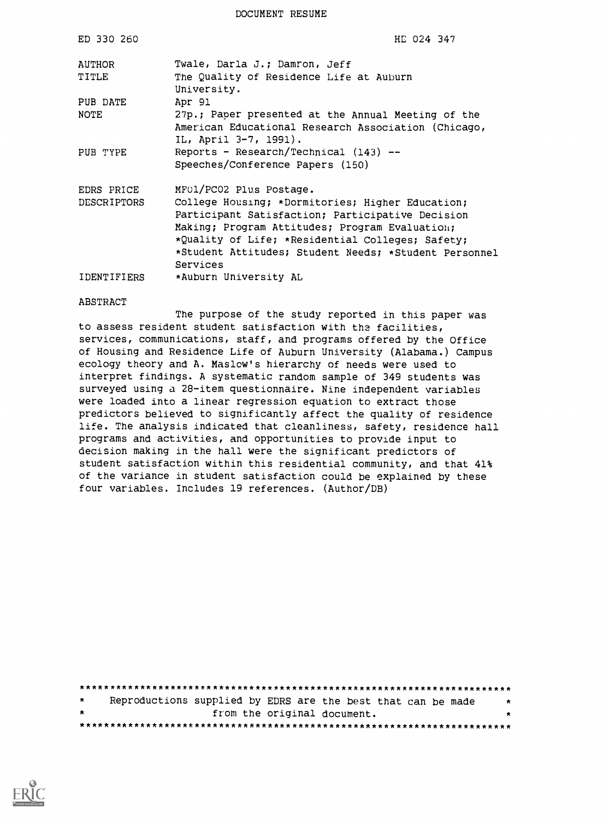DOCUMENT RESUME

| ED 330 260  | HE 024 347                                                                   |
|-------------|------------------------------------------------------------------------------|
| AUTHOR      | Twale, Darla J.; Damron, Jeff                                                |
| TITLE       | The Quality of Residence Life at Auburn<br>University.                       |
| PUB DATE    | Apr 91                                                                       |
| NOTE        | 27p.; Paper presented at the Annual Meeting of the                           |
|             | American Educational Research Association (Chicago,<br>IL, April 3-7, 1991). |
| PUB TYPE    | Reports - Research/Technical $(143)$ --                                      |
|             | Speeches/Conference Papers (150)                                             |
| EDRS PRICE  | MF01/PC02 Plus Postage.                                                      |
| DESCRIPTORS | College Housing; *Dormitories; Higher Education;                             |
|             | Participant Satisfaction; Participative Decision                             |
|             | Making; Program Attitudes; Program Evaluation;                               |
|             | *Quality of Life; *Residential Colleges; Safety;                             |
|             | *Student Attitudes; Student Needs; *Student Personnel<br>Services            |
| IDENTIFIERS | *Auburn University AL                                                        |

#### ABSTRACT

The purpose of the study reported in this paper was to assess resident student satisfaction with the facilities, services, communications, staff, and programs offered by the Office of Housing and Residence Life of Auburn University (Alabama.) Campus ecology theory and A. Maslow's hierarchy of needs were used to interpret findings. A systematic random sample of 349 students was surveyed using a 28-item questionnaire. Nine independent variables were loaded into a linear regression equation to extract those predictors believed to significantly affect the quality of residence life. The analysis indicated that cleanliness, safety, residence hall programs and activities, and opportunities to provide input to decision making in the hall were the significant predictors of student satisfaction within this residential community, and that 41% of the variance in student satisfaction could be explained by these four variables. Includes 19 references. (Author/DB)

| $\star$ |  | Reproductions supplied by EDRS are the best that can be made | ★ |
|---------|--|--------------------------------------------------------------|---|
| *       |  | from the original document.                                  |   |
|         |  |                                                              |   |

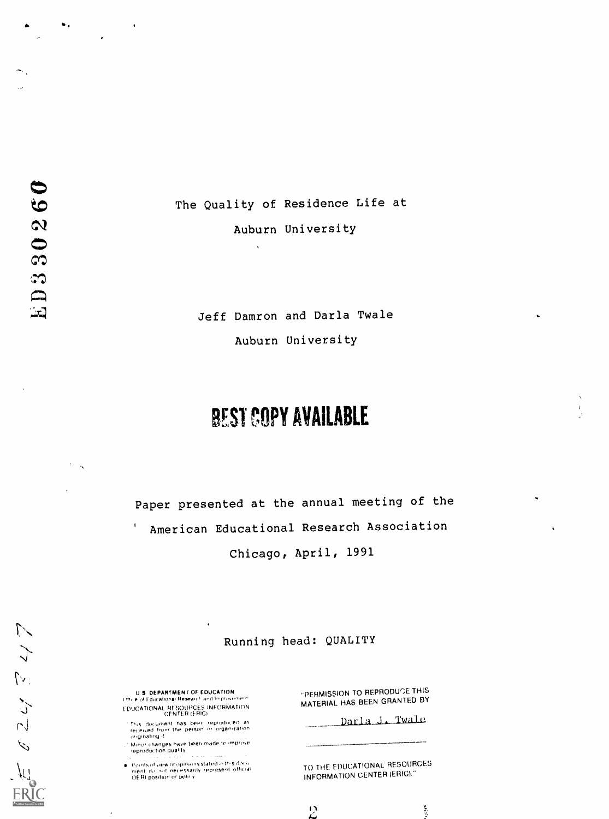The Quality of Residence Life at Auburn University

Jeff Damron and Darla Twale Auburn University

# BEST COPY AVAILABLE

Paper presented at the annual meeting of the American Educational Research Association  $\pmb{\mathfrak{g}}$ 

Chicago, April, 1991

Running head: QUALITY

 $\mathbf{D}$ 

Ľ.

U.5 DEPARTMENI OF EOUCATION Office of Educational Research and Improvement FDUCATIONAL RESOURCES INFORMATION<br>CENTER (ERIC)

s document has been reproduced as<br>eived from the person or organization originating discussion of the control

Minor changes have been made to improve.<br>reproduction quality

. Points of view or opinions stated in this document, do line<br>liment, do line differently, represent, official<br>- OERI position or policy

 $\cdot$ 

**PERMISSION TO REPRODUCE THIS** MATERIAL HAS BEEN GRANTED BY

Darla J. Twale

TO THE EDUCATIONAL RESOURCES INFORMATION CENTER (ERIC)."

ED330260

 $\mathcal{A}_\bullet$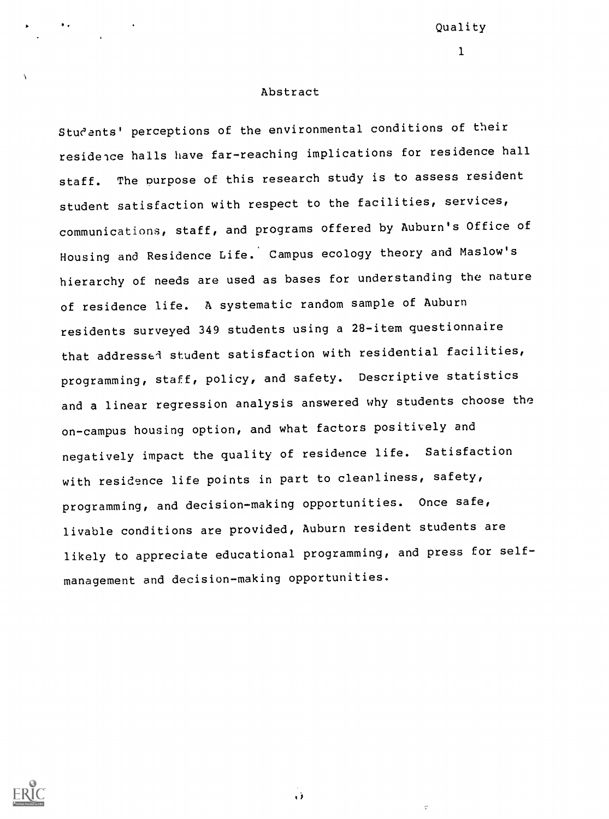#### Abstract

Students' perceptions of the environmental conditions of their residence halls have far-reaching implications for residence hall staff. The purpose of this research study is to assess resident student satisfaction with respect to the facilities, services, communications, staff, and programs offered by Auburn's Office of Housing and Residence Life. Campus ecology theory and Maslow's hierarchy of needs are used as bases for understanding the nature of residence life. A systematic random sample of Auburn residents surveyed 349 students using a 28-item questionnaire that addressed student satisfaction with residential facilities, programming, staff, policy, and safety. Descriptive statistics and a linear regression analysis answered why students choose the on-campus housing option, and what factors positively and negatively impact the quality of residence life. Satisfaction with residence life points in part to cleanliness, safety, programming, and decision-making opportunities. Once safe, livable conditions are provided, Auburn resident students are likely to appreciate educational programming, and press for selfmanagement and decision-making opportunities.



τž

 $\epsilon$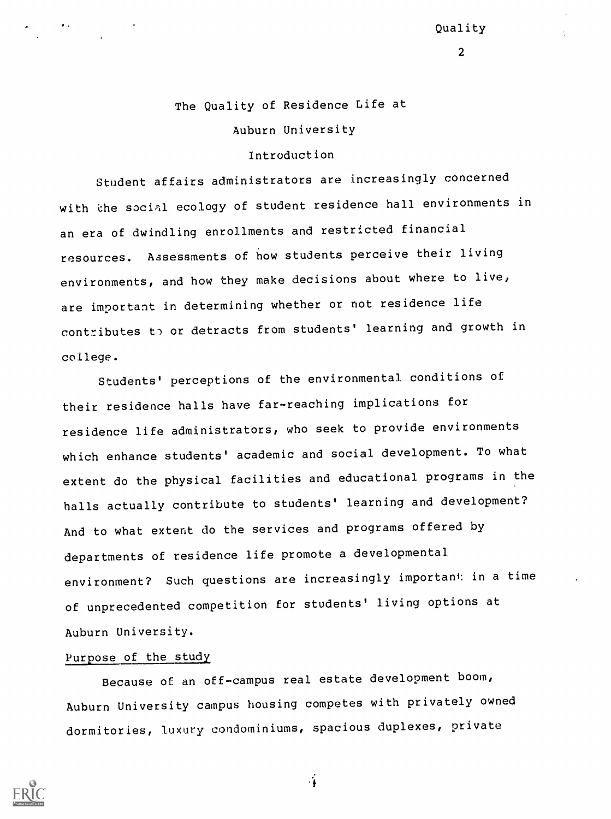### 2

# The Quality of Residence Life at Auburn University

## Introduction

Student affairs administrators are increasingly concerned with the social ecology of student residence hall environments in an era of dwindling enrollments and restricted financial resources. Assessments of how students perceive their living environments, and how they make decisions about where to live, are important in determining whether or not residence life contributes to or detracts from students' learning and growth in college.

Students' perceptions of the environmental conditions of their residence halls have far-reaching implications for residence life administrators, who seek to provide environments which enhance students' academic and social development. To what extent do the physical facilities and educational programs in the halls actually contribute to students' learning and development? And to what extent do the services and programs offered by departments of residence life promote a developmental environment? Such questions are increasingly important in a time of unprecedented competition for students' living options at Auburn University.

## Purpose of the study

Because of an off-campus real estate development boom, Auburn University campus housing competes with privately owned dormitories, luxury condominiums, spacious duplexes, private

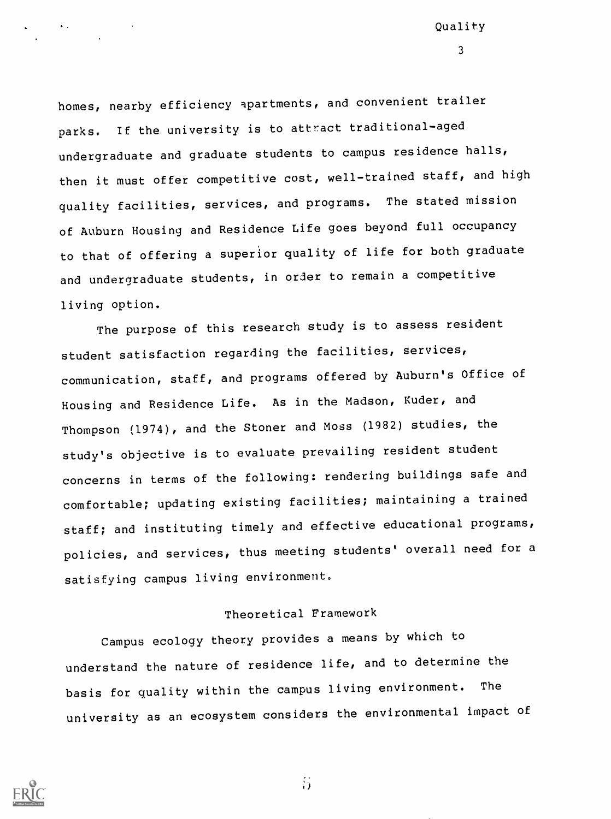homes, nearby efficiency apartments, and convenient trailer parks. If the university is to attract traditional-aged undergraduate and graduate students to campus residence halls, then it must offer competitive cost, well-trained staff, and high quality facilities, services, and programs. The stated mission of Auburn Housing and Residence Life goes beyond full occupancy to that of offering a superior quality of life for both graduate and undergraduate students, in order to remain a competitive living option.

The purpose of this research study is to assess resident student satisfaction regarding the facilities, services, communication, staff, and programs offered by Auburn's Office of Housing and Residence Life. As in the Madson, Kuder, and Thompson (1974), and the Stoner and Moss (1982) studies, the study's objective is to evaluate prevailing resident student concerns in terms of the following: rendering buildings safe and comfortable; updating existing facilities; maintaining a trained staff; and instituting timely and effective educational programs, policies, and services, thus meeting students' overall need for a satisfying campus living environment.

## Theoretical Framework

Campus ecology theory provides a means by which to understand the nature of residence life, and to determine the basis for quality within the campus living environment. The university as an ecosystem considers the environmental impact of



 $\ddot{0}$ 

Quality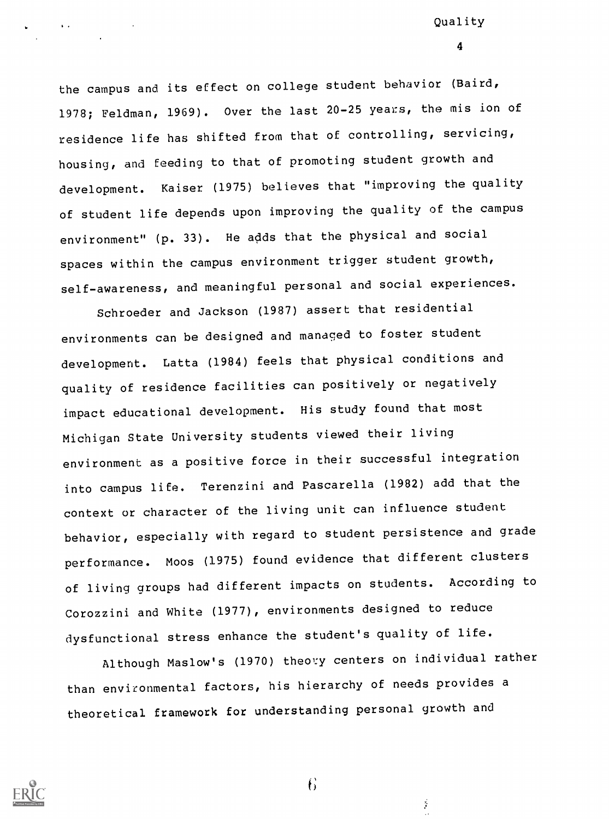4

the campus and its effect on college student behavior (Baird, 1978; Feldman, 1969). Over the last 20-25 years, the mis ion of residence life has shifted from that of controlling, servicing, housing, and feeding to that of promoting student growth and development. Kaiser (1975) believes that "improving the quality of student life depends upon improving the quality of the campus environment" (p. 33). He adds that the physical and social spaces within the campus environment trigger student growth, self-awareness, and meaningful personal and social experiences.

Schroeder and Jackson (1987) assert that residential environments can be designed and managed to foster student development. Latta (1984) feels that physical conditions and quality of residence facilities can positively or negatively impact educational development. His study found that most Michigan State University students viewed their living environment as a positive force in their successful integration into campus life. Terenzini and Pascarella (1982) add that the context or character of the living unit can influence student behavior, especially with regard to student persistence and grade performance. Moos (1975) found evidence that different clusters of living groups had different impacts on students. According to Corozzini and White (1977), environments designed to reduce dysfunctional stress enhance the student's quality of life.

Although Maslow's (1970) theory centers on individual rather than environmental factors, his hierarchy of needs provides a theoretical framework for understanding personal growth and



 $\mathbf{6}$ 

 $\mathcal{I}$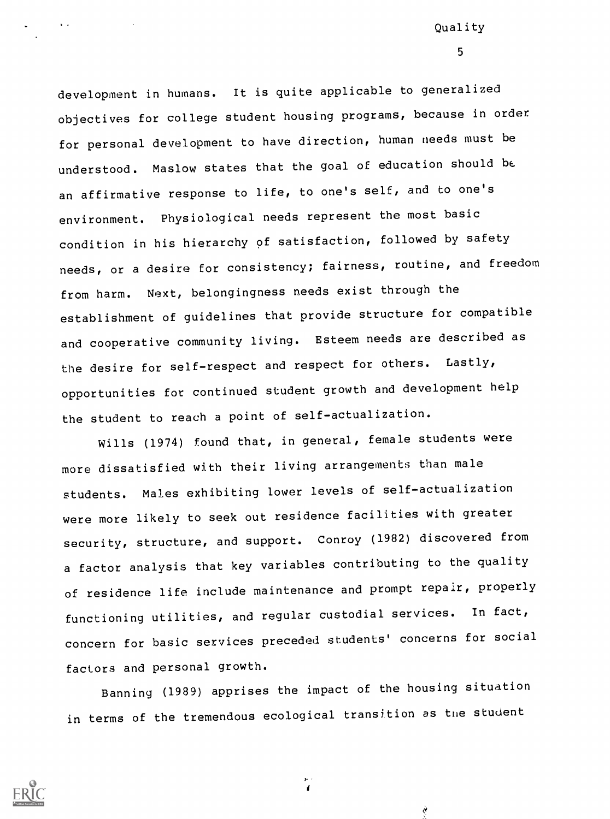5

development in humans. It is quite applicable to generalized objectives for college student housing programs, because in order for personal development to have direction, human needs must be understood. Maslow states that the goal of education should be an affirmative response to life, to one's self, and to one's environment. Physiological needs represent the most basic condition in his hierarchy of satisfaction, followed by safety needs, or a desire for consistency; fairness, routine, and freedom from harm. Next, belongingness needs exist through the establishment of guidelines that provide structure for compatible and cooperative community living. Esteem needs are described as the desire for self-respect and respect for others. Lastly, opportunities for continued student growth and development help the student to reach a point of self-actualization.

Wills (1974) found that, in general, female students were more dissatisfied with their living arrangements than male students. Males exhibiting lower levels of self-actualization were more likely to seek out residence facilities with greater security, structure, and support. Conroy (1982) discovered from a factor analysis that key variables contributing to the quality of residence life include maintenance and prompt repair, properly functioning utilities, and regular custodial services. In fact, concern for basic services preceded students' concerns for social factors and personal growth.

Banning (1989) apprises the impact of the housing situation in terms of the tremendous ecological transition as tne student

 $\frac{1}{4}$ 

à



 $\ddot{\bullet}$  .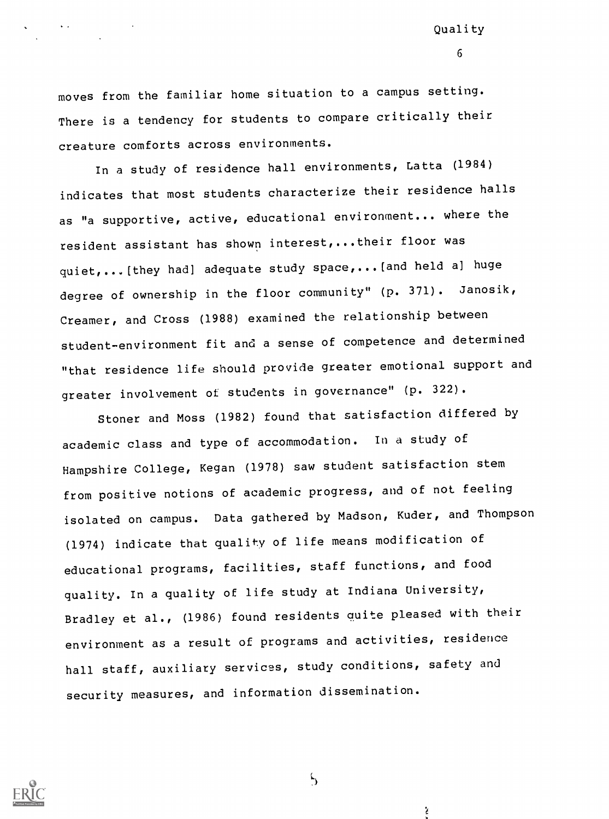moves from the familiar home situation to a campus setting. There is a tendency for students to compare critically their creature comforts across environments.

Quality

6

In a study of residence hall environments, Latta (1984) indicates that most students characterize their residence halls as "a supportive, active, educational environment... where the resident assistant has shown interest,...their floor was quiet,...[they had] adequate study space,...[and held a] huge degree of ownership in the floor community" (p. 371). Janosik, Creamer, and Cross (1988) examined the relationship between student-environment fit and a sense of competence and determined "that residence life should provide greater emotional support and greater involvement ot students in governance" (p. 322).

Stoner and Moss (1982) found that satisfaction differed by academic class and type of accommodation. In a study of Hampshire College, Kegan (1978) saw student satisfaction stem from positive notions of academic progress, and of not feeling isolated on campus. Data gathered by Madson, Kuder, and Thompson (1974) indicate that quality of life means modification of educational programs, facilities, staff functions, and food quality. In a quality of life study at Indiana University, Bradley et al., (1986) found residents quite pleased with their environment as a result of programs and activities, residence hall staff, auxiliary services, study conditions, safety and security measures, and information dissemination.



 $\zeta$ 

ý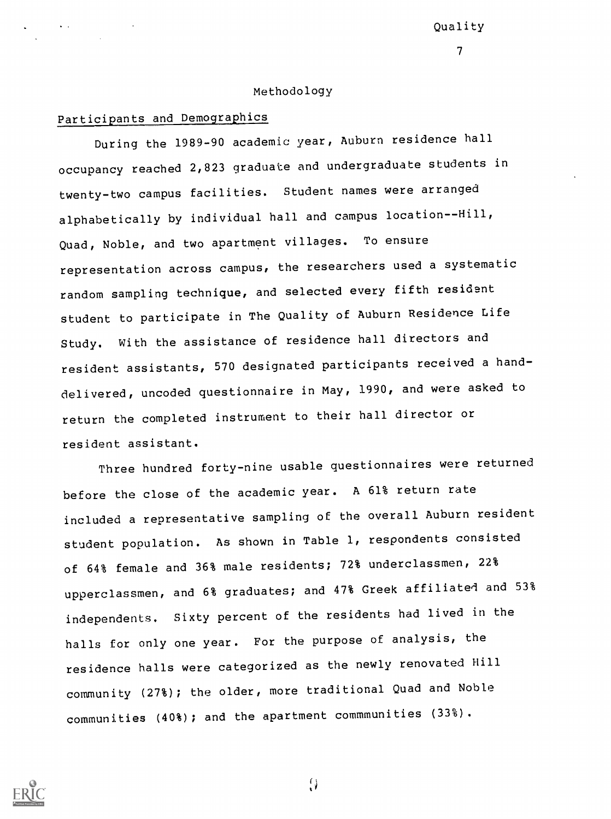#### Methodology

## Participants and Demographics

During the 1989-90 academic year, Auburn residence hall occupancy reached 2,823 graduate and undergraduate students in twenty-two campus facilities. Student names were arranged alphabetically by individual hall and campus location--Hill, Quad, Noble, and two apartment villages. To ensure representation across campus, the researchers used a systematic random sampling technique, and selected every fifth resident student to participate in The Quality of Auburn Residence Life Study. With the assistance of residence hall directors and resident assistants, 570 designated participants received a handdelivered, uncoded questionnaire in May, 1990, and were asked to return the completed instrument to their hall director or resident assistant.

Three hundred forty-nine usable questionnaires were returned before the close of the academic year. A 61% return rate included a representative sampling of the overall Auburn resident student population. As shown in Table 1, respondents consisted of 64% female and 36% male residents; 72% underclassmen, 22% upperclassmen, and 6% graduates; and 47% Greek affiliated and 53% independents. Sixty percent of the residents had lived in the halls for only one year. For the purpose of analysis, the residence halls were categorized as the newly renovated Hill community (27%); the older, more traditional Quad and Noble communities (40%) ; and the apartment communities (33%).



 $\bigvee$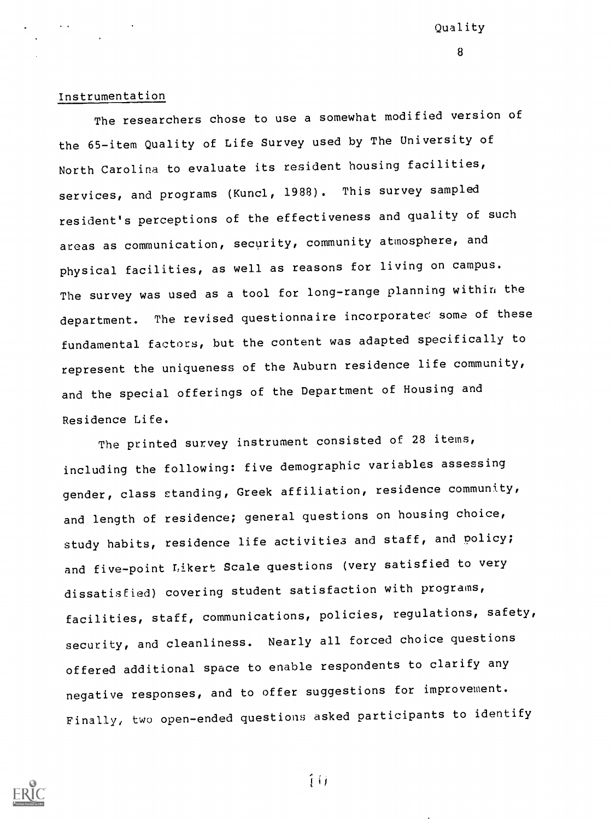#### Instrumentation

The researchers chose to use a somewhat modified version of the 65-item Quality of Life Survey used by The University of North Carolina to evaluate its resident housing facilities, services, and programs (Kuncl, 1988). This survey sampled resident's perceptions of the effectiveness and quality of such areas as communication, security, community atmosphere, and physical facilities, as well as reasons for living on campus. The survey was used as a tool for long-range planning within the department. The revised questionnaire incorporatec some of these fundamental factors, but the content was adapted specifically to represent the uniqueness of the Auburn residence life community, and the special offerings of the Department of Housing and Residence Life.

The printed survey instrument consisted of 28 items, including the following: five demographic variables assessing gender, class standing, Greek affiliation, residence community, and length of residence; general questions on housing choice, study habits, residence life activities and staff, and policy; and five-point Likert Scale questions (very satisfied to very dissatisfied) covering student satisfaction with programs, facilities, staff, communications, policies, regulations, safety, security, and cleanliness. Nearly all forced choice questions offered additional space to enable respondents to clarify any negative responses, and to offer suggestions for improvement. Finally, two open-ended questions asked participants to identify



 $f(t)$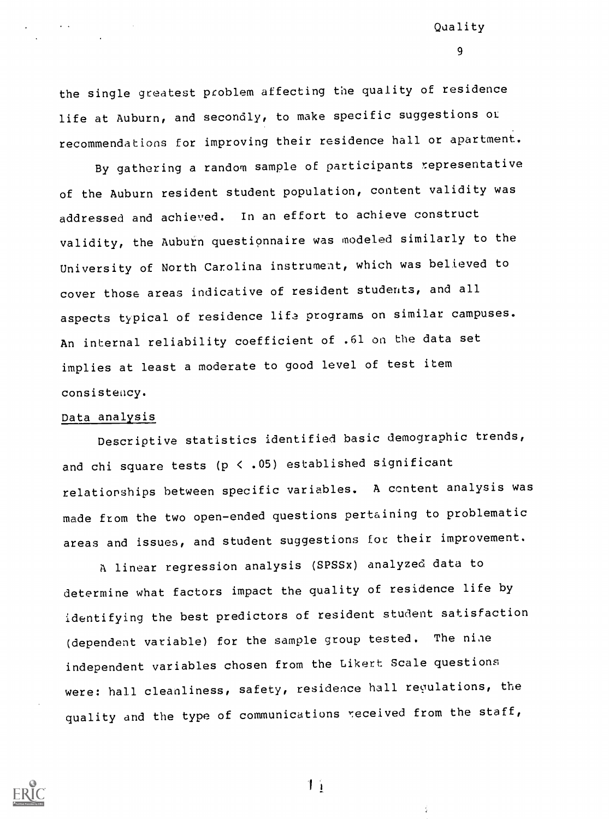the single greatest problem affecting the quality of residence life at Auburn, and secondly, to make specific suggestions or recommendations for improving their residence hall or apartment.

Quality

9

By gathering a random sample of participants representative of the Auburn resident student population, content validity was addressed and achieved. In an effort to achieve construct validity, the Auburn questionnaire was modeled similarly to the University of North Carolina instrumeat, which was believed to cover those areas indicative of resident students, and all aspects typical of residence life programs on similar campuses. An internal reliability coefficient of .61 on the data set implies at least a moderate to good level of test item consistency.

#### Data analysis

Descriptive statistics identified basic demographic trends, and chi square tests (p < .05) established significant relationships between specific variables. A content analysis was made from the two open-ended questions pertaining to problematic areas and issues, and student suggestions for their improvement.

A linear regression analysis (SPSSx) analyzed data to determine what factors impact the quality of residence life by identifying the best predictors of resident student satisfaction (dependent variable) for the sample group tested. The nine independent variables chosen from the Likert Scale questions were: hall cleanliness, safety, residence hall regulations, the quality and the type of communications received from the staff,



 $1<sub>1</sub>$ 

ž.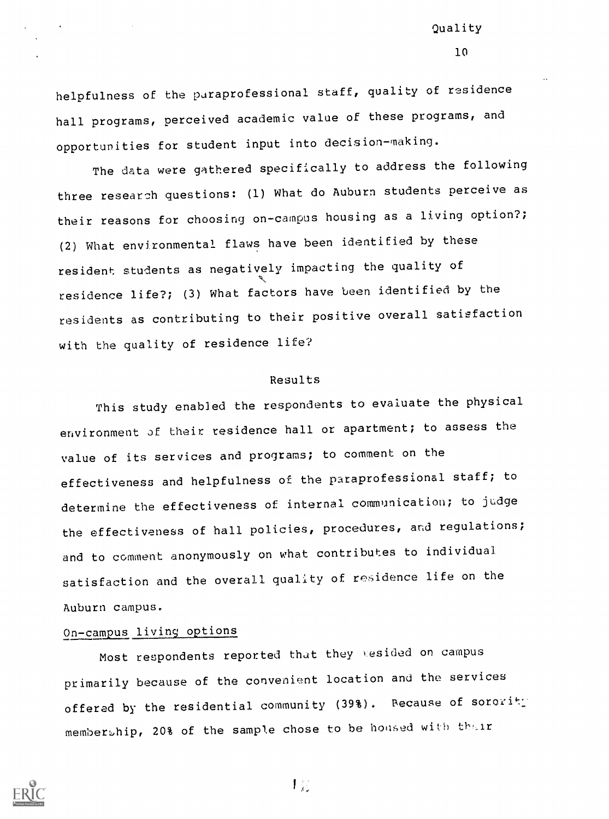helpfulness of the paraprofessional staff, quality of residence hall programs, perceived academic value of these programs, and opportunities for student input into decision-making.

The data were gathered specifically to address the following three research questions: (1) What do Auburn students perceive as their reasons for choosing on-campus housing as a living option?; (2) What environmental flaws have been identified by these resident students as negatively impacting the quality of residence life?; (3) What factors have been identified by the residents as contributing to their positive overall satisfaction with the quality of residence life?

#### Results

This study enabled the respondents to evaluate the physical environment of their residence hall or apartment; to assess the value of its services and programs; to comment on the effectiveness and helpfulness of the paraprofessional staff; to determine the effectiveness of internal communication; to judge the effectiveness of hall policies, procedures, and regulations; and to comment anonymously on what contributes to individual satisfaction and the overall quality of residence life on the Auburn campus.

## On-campus living options

Most respondents reported that they sesided on campus primarily because of the convenient location and the services offered by the residential community (39%). Recause of sorority membership, 20% of the sample chose to be housed with thair



 $\mathbf{1}_{\infty}$ 

Quality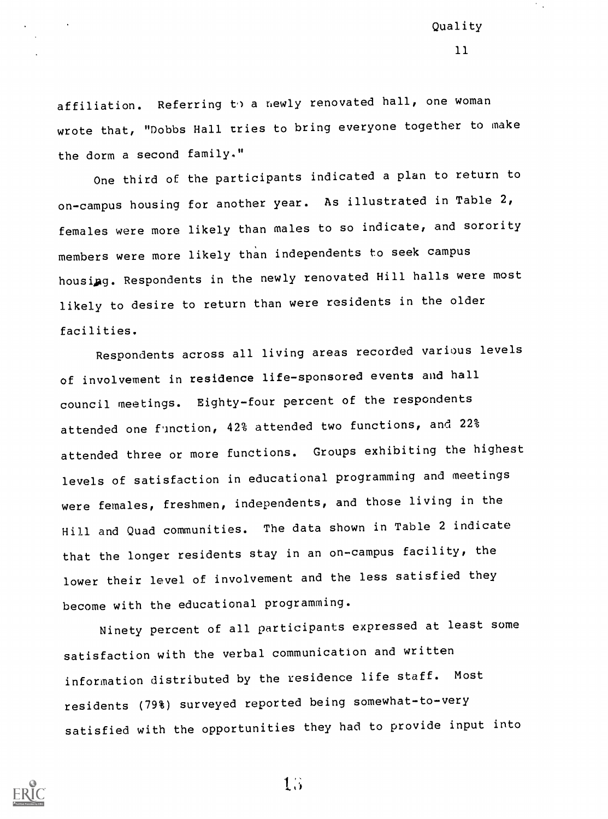affiliation. Referring that newly renovated hall, one woman wrote that, "Dobbs Hall tries to bring everyone together to make the dorm a second family,"

One third of the participants indicated a plan to return to on-campus housing for another year. As illustrated in Table 2, females were more likely than males to so indicate, and sorority members were more likely than independents to seek campus housing. Respondents in the newly renovated Hill halls were most likely to desire to return than were residents in the older facilities.

Respondents across all living areas recorded various levels of involvement in residence life-sponsored events and hall council meetings. Eighty-four percent of the respondents attended one function, 42% attended two functions, and 22% attended three or more functions. Groups exhibiting the highest levels of satisfaction in educational programming and meetings were females, freshmen, independents, and those living in the Hill and Quad communities. The data shown in Table 2 indicate that the longer residents stay in an on-campus facility, the lower their level of involvement and the less satisfied they become with the educational programming.

Ninety percent of all participants expressed at least some satisfaction with the verbal communication and written information distributed by the residence life staff. Most residents (79%) surveyed reported being somewhat-to-very satisfied with the opportunities they had to provide input into



 $1.3$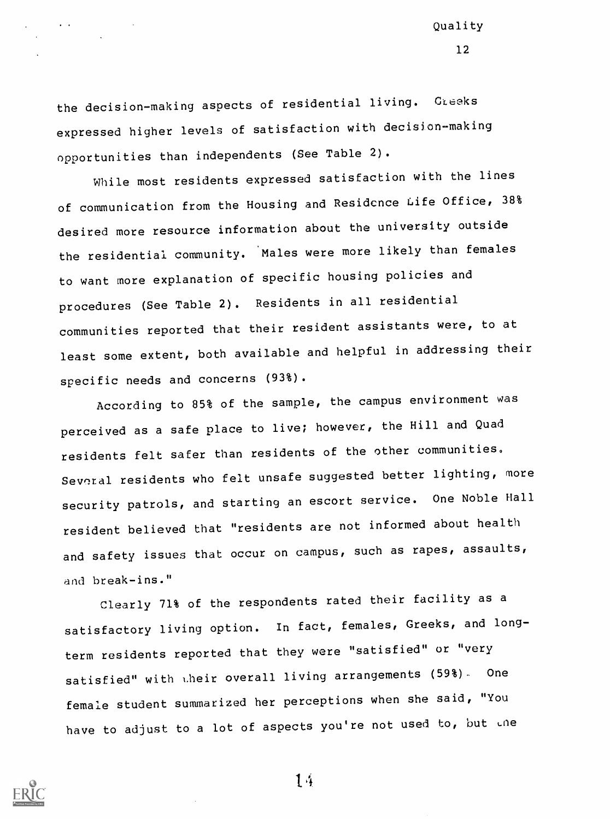the decision-making aspects of residential living. Greeks expressed higher levels of satisfaction with decision-making opportunities than independents (See Table 2).

Quality

12

While most residents expressed satisfaction with the lines of communication from the Housing and Residence Life Office, 38% desired more resource information about the university outside the residential community. 'Males were more likely than females to want more explanation of specific housing policies and procedures (See Table 2). Residents in all residential communities reported that their resident assistants were, to at least some extent, both available and helpful in addressing their specific needs and concerns (93%).

According to 85% of the sample, the campus environment was perceived as a safe place to live; however, the Hill and Quad residents felt safer than residents of the other communities. Several residents who felt unsafe suggested better lighting, more security patrols, and starting an escort service. One Noble Hall resident believed that "residents are not informed about health and safety issues that occur on campus, such as rapes, assaults, and break-ins."

Clearly 71% of the respondents rated their facility as a satisfactory living option. In fact, females, Greeks, and longterm residents reported that they were "satisfied" or "very satisfied" with their overall living arrangements (59%). One female student summarized her perceptions when she said, "You have to adjust to a lot of aspects you're not used to, but the

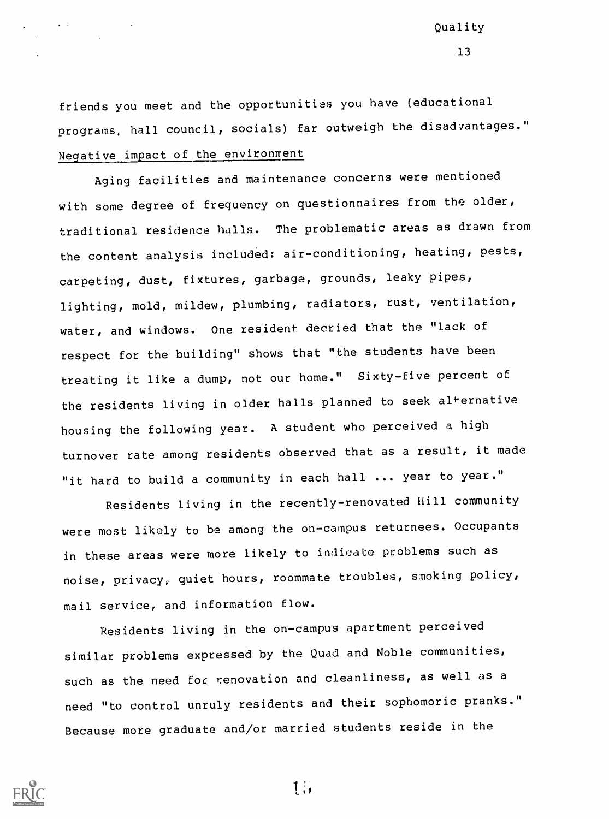friends you meet and the opportunities you have (educational programs, hall council, socials) far outweigh the disadvantages." Negative impact of the environment

Quality

13

Aging facilities and maintenance concerns were mentioned with some degree of frequency on questionnaires from the older, traditional residence halls. The problematic areas as drawn from the content analysis included: air-conditioning, heating, pests, carpeting, dust, fixtures, garbage, grounds, leaky pipes, lighting, mold, mildew, plumbing, radiators, rust, ventilation, water, and windows. One resident decried that the "lack of respect for the building" shows that "the students have been treating it like a dump, not our home." Sixty-five percent oE the residents living in older halls planned to seek alternative housing the following year. A student who perceived a high turnover rate among residents observed that as a result, it made "it hard to build a community in each hall ... year to year."

Residents living in the recently-renovated hill community were most likely to be among the on-campus returnees. Occupants in these areas were more likely to indicate problems such as noise, privacy, quiet hours, roommate troubles, smoking policy, mail service, and information flow.

Residents living in the on-campus apartment perceived similar problems expressed by the Quad and Noble communities, such as the need for renovation and cleanliness, as well as a need "to control unruly residents and their sophomoric pranks." Because more graduate and/or married students reside in the



 $1<sub>1</sub>$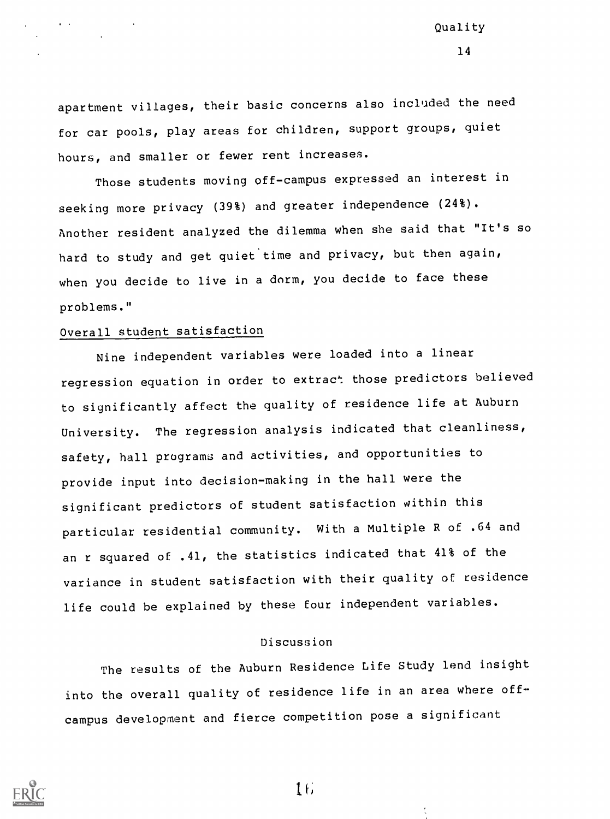apartment villages, their basic concerns also included the need for car pools, play areas for children, support groups, quiet hours, and smaller or fewer rent increases.

Those students moving off-campus expressed an interest in seeking more privacy (39%) and greater independence (24%). Another resident analyzed the dilemma when she said that "It's so hard to study and get quiet time and privacy, but then again, when you decide to live in a dorm, you decide to face these problems."

## Overall student satisfaction

Nine independent variables were loaded into a linear regression equation in order to extract those predictors believed to significantly affect the quality of residence life at Auburn University. The regression analysis indicated that cleanliness, safety, hall programs and activities, and opportunities to provide input into decision-making in the hall were the significant predictors of student satisfaction within this particular residential community. With a Multiple R of .64 and an r squared of .41, the statistics indicated that 41% of the variance in student satisfaction with their quality of residence life could be explained by these four independent variables.

#### Discussion

The results of the Auburn Residence Life Study lend insight into the overall quality of residence life in an area where offcampus development and fierce competition pose a significant

 $16$ 

 $\bar{\zeta}$ 

Quality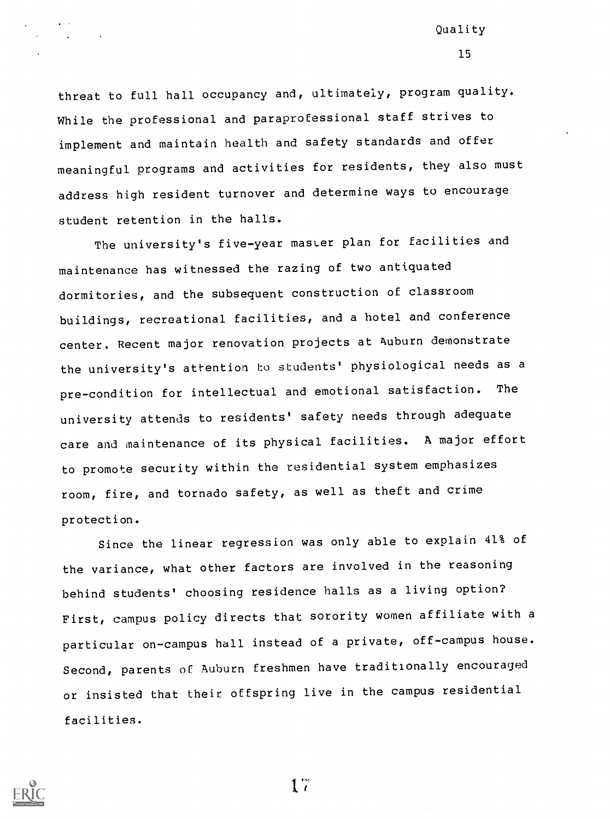threat to full hall occupancy and, ultimately, program quality. While the professional and paraprofessional staff strives to implement and maintain health and safety standards and offer meaningful programs and activities for residents, they also must address high resident turnover and determine ways to encourage student retention in the halls.

The university's five-year master plan for facilities and maintenance has witnessed the razing of two antiquated dormitories, and the subsequent construction of classroom buildings, recreational facilities, and a hotel and conference center. Recent major renovation projects at Auburn demonstrate the university's attention to students' physiological needs as a pre-condition for intellectual and emotional satisfaction. The university attends to residents' safety needs through adequate care and maintenance of its physical facilities. A major effort to promote security within the residential system emphasizes room, fire, and tornado safety, as well as theft and crime protection.

Since the linear regression was only able to explain 41% of the variance, what other factors are involved in the reasoning behind students' choosing residence halls as a living option? First, campus policy directs that sorority women affiliate with a particular on-campus hall instead of a private, off-campus house. Second, parents of Auburn freshmen have traditionally encouraged or insisted that their offspring live in the campus residential facilities.

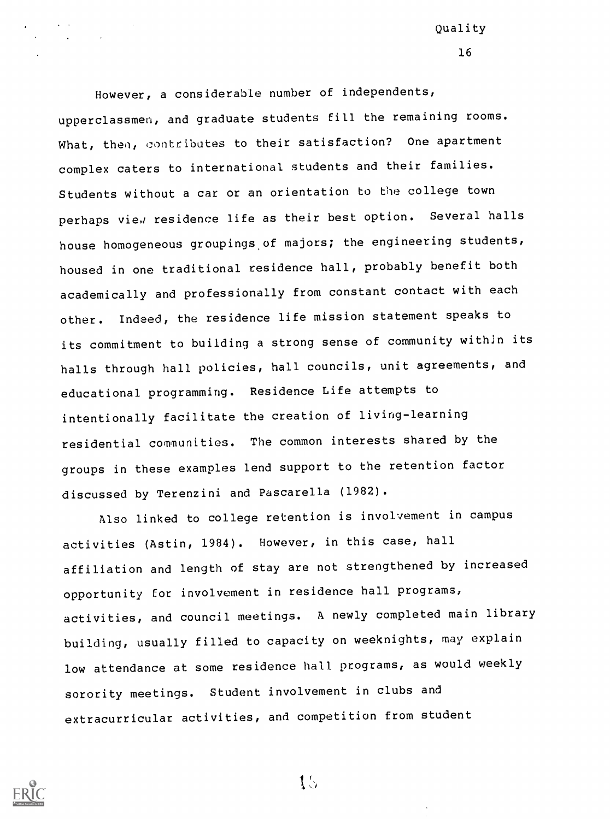However, a considerable number of independents, upperclassmen, and graduate students fill the remaining rooms. What, then, contributes to their satisfaction? One apartment complex caters to international students and their families. Students without a car or an orientation to the college town perhaps view residence life as their best option. Several halls house homogeneous groupings,of majors; the engineering students, housed in one traditional residence hall, probably benefit both academically and professionally from constant contact with each other. Indeed, the residence life mission statement speaks to its commitment to building a strong sense of community within its halls through hall policies, hall councils, unit agreements, and educational programming. Residence Life attempts to intentionally facilitate the creation of living-learning residential communities. The common interests shared by the groups in these examples lend support to the retention factor discussed by Terenzini and Pascarella (1982).

Also linked to college retention is involvement in campus activities (Astin, 1984). However, in this case, hall affiliation and length of stay are not strengthened by increased opportunity for involvement in residence hall programs, activities, and council meetings. A newly completed main library building, usually filled to capacity on weeknights, may explain low attendance at some residence hall programs, as would weekly sorority meetings. Student involvement in clubs and extracurricular activities, and competition from student



15

Quality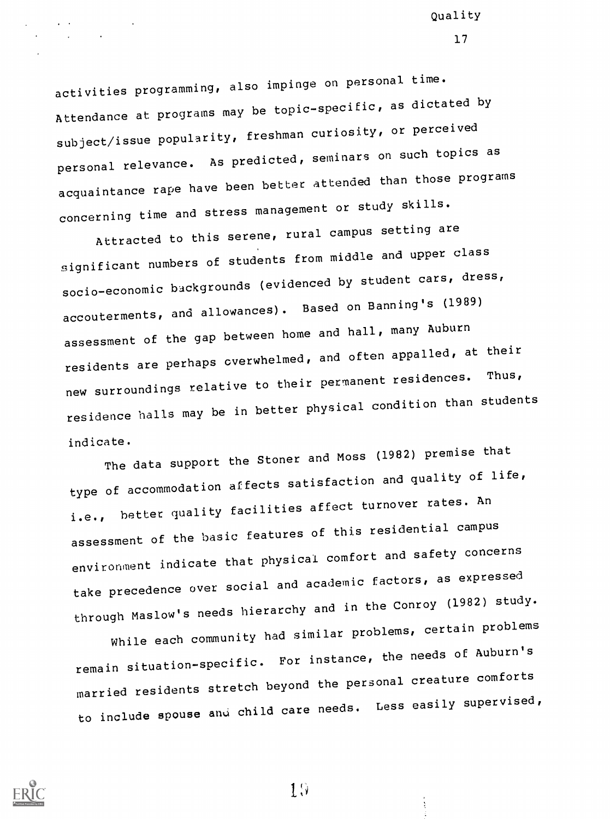activities programming, also impinge on personal time. Attendance at programs may be topic-specific, as dictated by subject/issue popularity, freshman curiosity, or perceived personal relevance. As predicted, seminars on such topics as acquaintance rape have been better attended than those programs concerning time and stress management or study skills.

Attracted to this serene, rural campus setting are significant numbers of students from middle and upper class socio-economic backgrounds (evidenced by student cars, dress, accouterments, and allowances). Based on Banning's (1989) assessment of the gap between home and hall, many Auburn residents are perhaps cverwhelmed, and often appalled, at their new surroundings relative to their permanent residences. residence halls may be in better physical condition than students indicate.

The data support the Stoner and Moss (1982) premise that type of accommodation affects satisfaction and quality of life, i.e., better quality facilities affect turnover rates. An assessment of the basic features of this residential campus environment indicate that physical comfort and safety concerns take precedence over social and academic factors, as expressed through Maslow's needs hierarchy and in the Conroy (1982) study.

While each community had similar problems, certain problems remain situation-specific. For instance, the needs of Auburn's married residents stretch beyond the personal creature comforts to include spouse and child care needs. Less easily supervised,



 $19$ 

Quality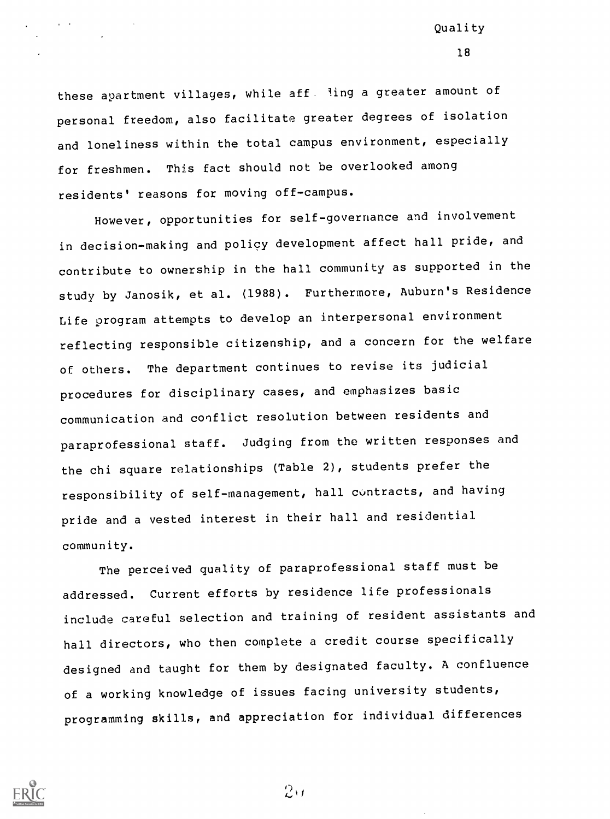these apartment villages, while aff. ling a greater amount of personal freedom, also facilitate greater degrees of isolation and loneliness within the total campus environment, especially for freshmen. This fact should not be overlooked among residents' reasons for moving off-campus.

However, opportunities for self-governance and involvement in decision-making and policy development affect hall pride, and contribute to ownership in the hall community as supported in the study by Janosik, et al. (1988). Furthermore, Auburn's Residence Life program attempts to develop an interpersonal environment reflecting responsible citizenship, and a concern for the welfare of others. The department continues to revise its judicial procedures for disciplinary cases, and emphasizes basic communication and conflict resolution between residents and paraprofessional staff. Judging from the written responses and the chi square relationships (Table 2), students prefer the responsibility of self-management, hall contracts, and having pride and a vested interest in their hall and residential community.

The perceived quality of paraprofessional staff must be addressed. Current efforts by residence life professionals include careful selection and training of resident assistants and hall directors, who then complete a credit course specifically designed and taught for them by designated faculty. A confluence of a working knowledge of issues facing university students, programming skills, and appreciation for individual differences



 $2\sigma$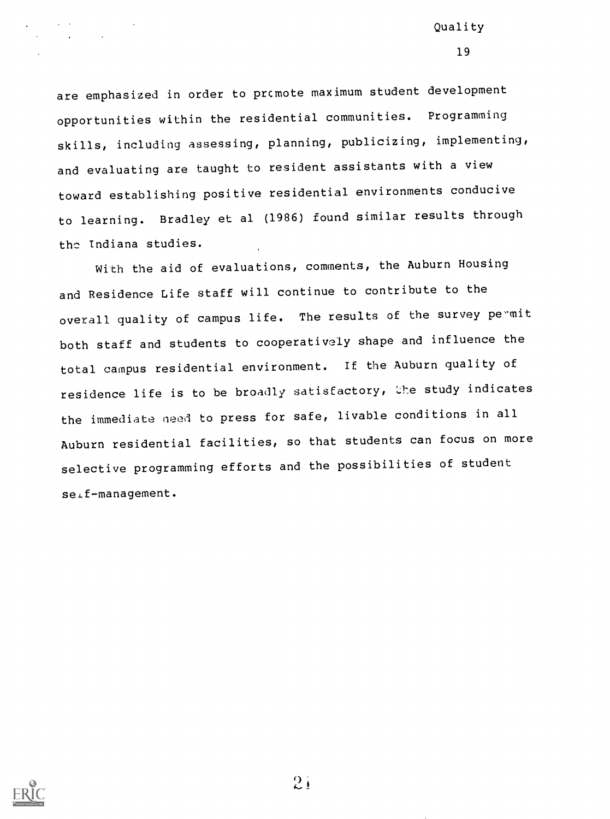are emphasized in order to prcmote maximum student development opportunities within the residential communities. Programming skills, including assessing, planning, publicizing, implementing, and evaluating are taught to resident assistants with a view toward establishing positive residential environments conducive to learning. Bradley et al (1986) found similar results through the Indiana studies.

With the aid of evaluations, comments, the Auburn Housing and Residence Life staff will continue to contribute to the overall quality of campus life. The results of the survey permit both staff and students to cooperatively shape and influence the total campus residential environment. If the Auburn quality of residence life is to be broadly satisfactory, the study indicates the immediate need to press for safe, livable conditions in all Auburn residential facilities, so that students can focus on more selective programming efforts and the possibilities of student se<sub>i</sub>f-management.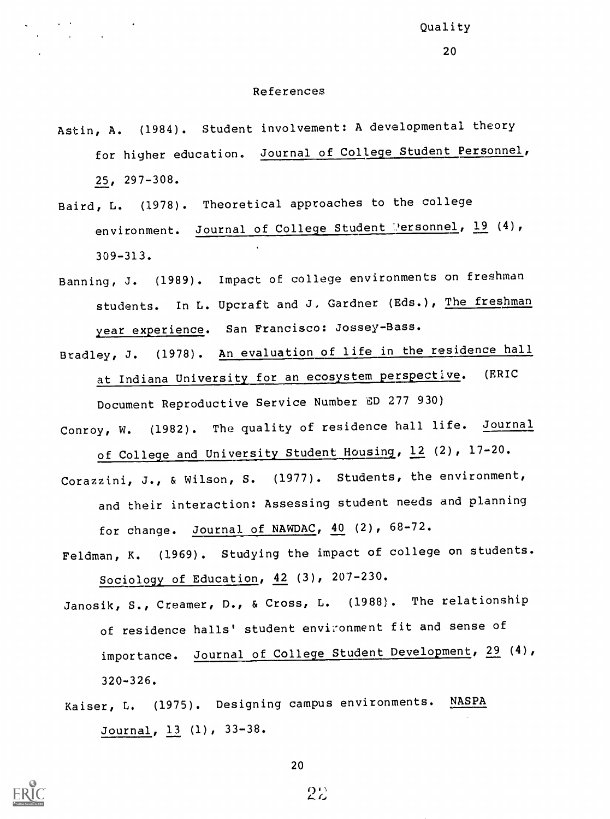#### References

- Astin, A. (1984). Student involvement: A developmental theory for higher education. Journal of College Student Personnel, 25, 297-308.
- Baird, L. (1978). Theoretical approaches to the college environment. Journal of College Student Personnel, 19 (4), 309-313.
- Banning, J. (1989). Impact of college environments on freshman students. In L. Upcraft and J. Gardner (Eds.), The freshman year experience. San Francisco: Jossey-Bass.
- Bradley, J. (1978). An evaluation of life in the residence hall at Indiana University for an ecosystem perspective. (ERIC Document Reproductive Service Number ED 277 930)
- Conroy, W. (1982). The quality of residence hall life. Journal of College and University Student Housing, 12 (2), 17-20.
- Corazzini, J., & Wilson, S. (1977). Students, the environment, and their interaction: Assessing student needs and planning for change. Journal of NAWDAC, 40 (2), 68-72.
- Feldman, K. (1969). Studying the impact of college on students. Sociology of Education, 42 (3), 207-230.
- Janosik, S., Creamer, D., & Cross, L. (1988). The relationship of residence halls' student environment fit and sense of importance. Journal of College Student Development, 29 (4), 320-326.
- Kaiser, L. (1975). Designing campus environments. NASPA Journal, 13 (1), 33-38.



20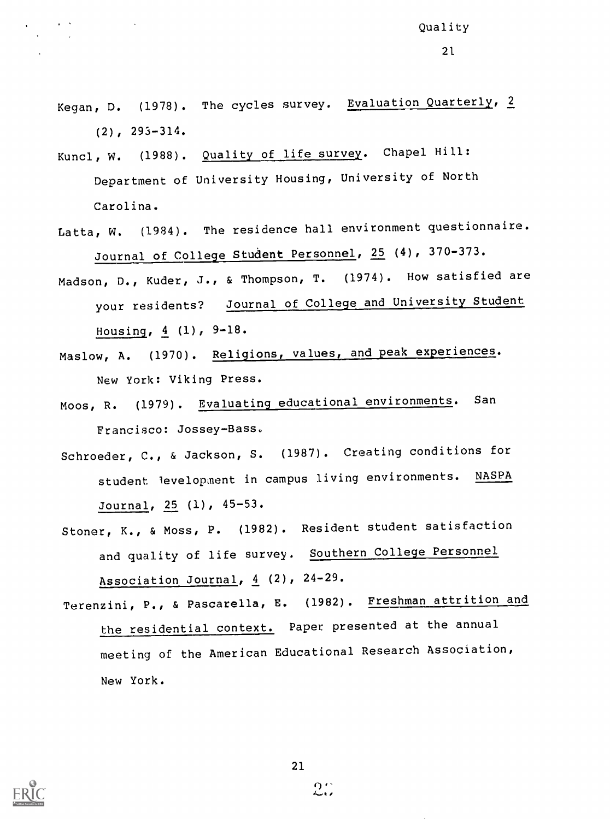- Kegan, D. (1978). The cycles survey. Evaluation Quarterly, 2  $(2)$ ,  $293-314$ .
- Kuncl, W. (1988). Quality of life survey. Chapel Hill: Department of University Housing, University of North Carolina.
- Latta, W. (1984). The residence hall environment questionnaire. Journal of College Student Personnel, 25 (4), 370-373.
- Madson, D., Kuder, J., & Thompson, T. (1974). How satisfied are your residents? Journal of College and University Student Housing,  $4$  (1), 9-18.
- Maslow, A. (1970). <u>Religions, values, and peak experiences</u>. New York: Viking Press.
- Moos, R. (1979). Evaluating educational environments. San Francisco: Jossey-Bass.
- Schroeder, C., & Jackson, S. (1987). Creating conditions for student levelopment in campus living environments. NASPA Journal, 25 (1), 45-53.
- Stoner, K., & Moss, P. (1982). Resident student satisfaction and quality of life survey. Southern College Personnel Association Journal,  $4$  (2), 24-29.
- Terenzini, P., & Pascarella, E. (1982). Freshman attrition and the residential context. Paper presented at the annual meeting of the American Educational Research Association, New York.

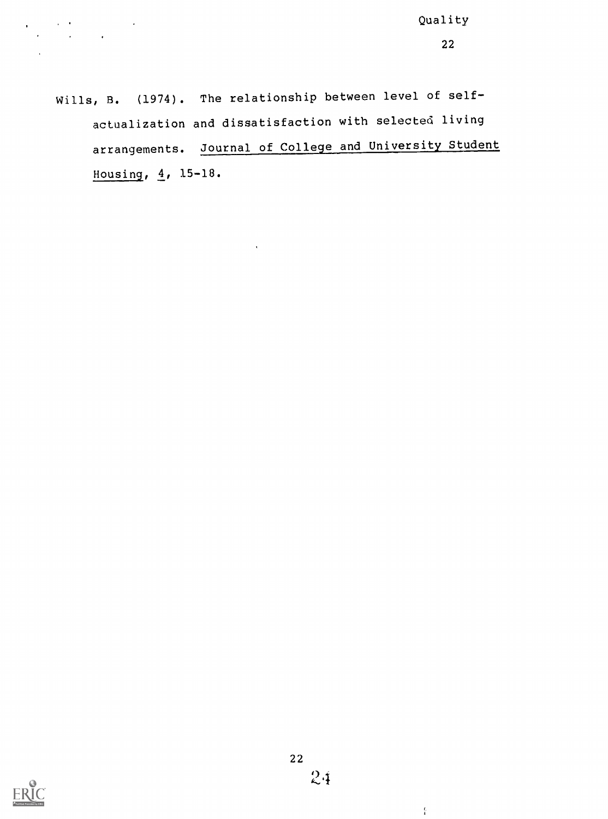Quality  $\begin{aligned} \frac{1}{\sqrt{2}}\left(\frac{1}{\sqrt{2}}\right)^{2} & = \frac{1}{2}\left(\frac{1}{2}\right)^{2} \end{aligned}$  $\mathcal{L}^{\text{max}}_{\text{max}}$ 22 Wills, B. (1974). The relationship between level of selfactualization and dissatisfaction with selected living arrangements. Journal of College and University Student

 $\bar{\mathbf{r}}$ 

Housing, 4, 15-18.



 $\frac{t}{k}$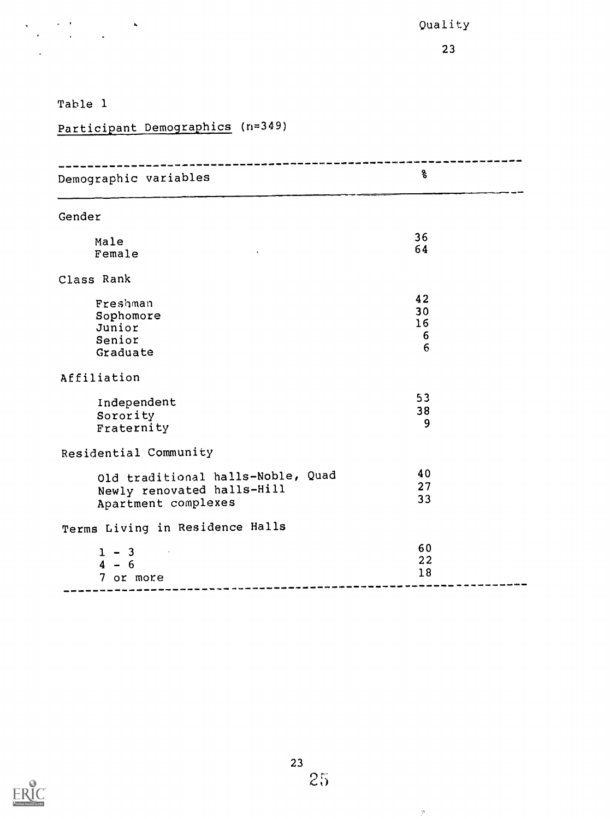## Table 1

 $\label{eq:2.1} \begin{split} \mathcal{L}_{\text{max}}(\mathbf{x},\mathbf{y}) &= \mathcal{L}_{\text{max}}(\mathbf{x},\mathbf{y}) \\ \mathcal{L}_{\text{max}}(\mathbf{x},\mathbf{y}) &= \mathcal{L}_{\text{max}}(\mathbf{x},\mathbf{y}) \end{split}$ 

## Participant Demographics (n=349)

| 8<br>36<br>64<br>42<br>30<br>16<br>6<br>$6\phantom{1}6$<br>53<br>38<br>9<br>40<br>Old traditional halls-Noble, Quad<br>27<br>Newly renovated halls-Hill<br>33<br>Apartment complexes<br>Terms Living in Residence Halls |  |  |
|-------------------------------------------------------------------------------------------------------------------------------------------------------------------------------------------------------------------------|--|--|
|                                                                                                                                                                                                                         |  |  |
|                                                                                                                                                                                                                         |  |  |
|                                                                                                                                                                                                                         |  |  |
|                                                                                                                                                                                                                         |  |  |
|                                                                                                                                                                                                                         |  |  |
|                                                                                                                                                                                                                         |  |  |
|                                                                                                                                                                                                                         |  |  |
|                                                                                                                                                                                                                         |  |  |
| 60<br>22<br>18                                                                                                                                                                                                          |  |  |
|                                                                                                                                                                                                                         |  |  |



 $\mathcal{P}$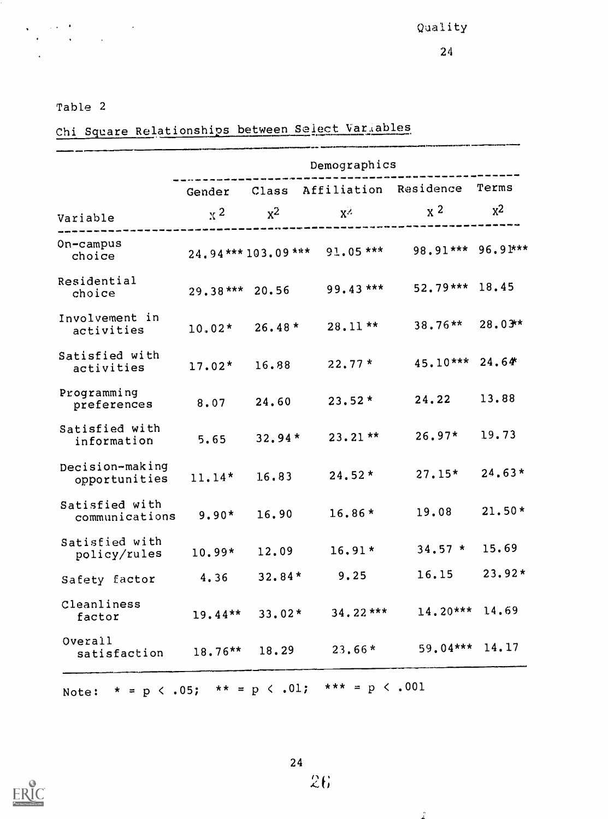## Table 2

 $\label{eq:2.1} \begin{split} \frac{\partial \mathcal{L}(\mathbf{r},\mathbf{r})}{\partial \mathbf{r}} & = \frac{1}{2} \left( \frac{\partial \mathcal{L}(\mathbf{r},\mathbf{r})}{\partial \mathbf{r}} \right) \mathcal{L}(\mathbf{r},\mathbf{r}) \\ & = \frac{1}{2} \left( \frac{\partial \mathcal{L}(\mathbf{r},\mathbf{r})}{\partial \mathbf{r}} \right) \mathcal{L}(\mathbf{r},\mathbf{r}) \\ & = \frac{1}{2} \left( \frac{\partial \mathcal{L}(\mathbf{r},\mathbf{r})}{\partial \mathbf{r}} \right$ 

 $\frac{1}{2}$ 

## Chi Square Relationships between Select Variables

|                                  | Demographics   |          |                                          |                   |          |
|----------------------------------|----------------|----------|------------------------------------------|-------------------|----------|
|                                  |                |          | Gender Class Affiliation Residence Terms |                   |          |
| Variable                         | $\mathbf{x}^2$ | $x^2$    | $X^2$                                    | $x^2$             | $x^2$    |
| On-campus<br>choice              |                |          | $24.94***103.09***$ 91.05 ***            | 98.91*** 96.91*** |          |
| Residential<br>choice            | 29.38*** 20.56 |          | $99.43***$                               | 52.79*** 18.45    |          |
| Involvement in<br>activities     | $10.02*$       | $26.48*$ | $28.11**$                                | $38.76**$         | 28.03**  |
| Satisfied with<br>activities     | $17.02*$       | 16.88    | $22.77*$                                 | 45.10*** 24.64    |          |
| Programming<br>preferences       | 8.07           | 24.60    | $23.52*$                                 | 24.22             | 13.88    |
| Satisfied with<br>information    | 5.65           | $32.94*$ | $23.21**$                                | $26.97*$          | 19.73    |
| Decision-making<br>opportunities | $11.14*$       | 16.83    | $24.52*$                                 | $27.15*$          | $24.63*$ |
| Satisfied with<br>communications | $9.90*$        | 16.90    | $16.86*$                                 | 19.08             | $21.50*$ |
| Satisfied with<br>policy/rules   | 10.99*         | 12.09    | $16.91*$                                 | $34.57 * 15.69$   |          |
| Safety factor                    | 4.36           | $32.84*$ | 9,25                                     | 16.15             | $23.92*$ |
| Cleanliness<br>factor            | $19.44**$      | $33.02*$ | $34.22***$                               | $14.20***$ 14.69  |          |
| Overall<br>satisfaction          | $18.76***$     | 18.29    | $23,66*$                                 | $59.04***$ 14.17  |          |

Note:  $* = p \, \langle .05; * \rangle = p \, \langle .01; * \rangle = p \, \langle .001$ 



 $\mathcal{I}^{\mathbb{N}}$